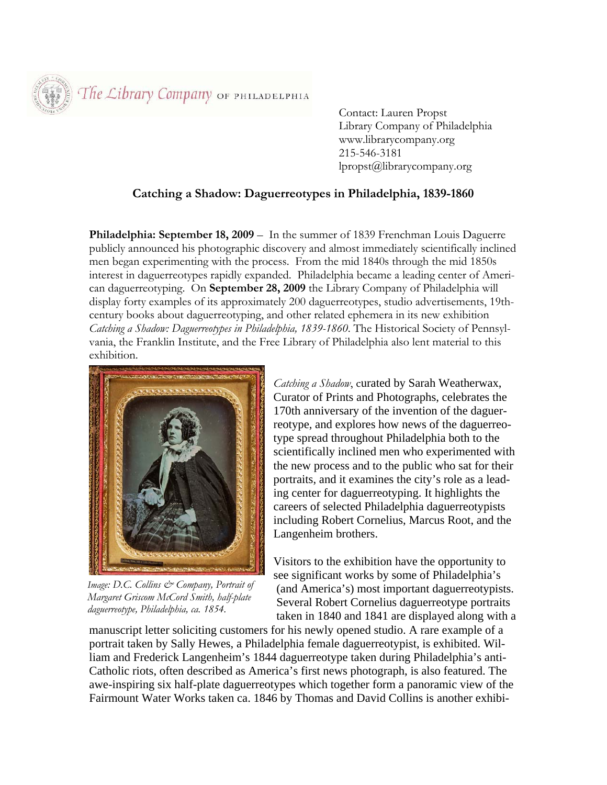The Library Company OF PHILADELPHIA

 Contact: Lauren Propst Library Company of Philadelphia www.librarycompany.org 215-546-3181 lpropst@librarycompany.org

## **Catching a Shadow: Daguerreotypes in Philadelphia, 1839-1860**

**Philadelphia: September 18, 2009** – In the summer of 1839 Frenchman Louis Daguerre publicly announced his photographic discovery and almost immediately scientifically inclined men began experimenting with the process. From the mid 1840s through the mid 1850s interest in daguerreotypes rapidly expanded. Philadelphia became a leading center of American daguerreotyping. On **September 28, 2009** the Library Company of Philadelphia will display forty examples of its approximately 200 daguerreotypes, studio advertisements, 19thcentury books about daguerreotyping, and other related ephemera in its new exhibition *Catching a Shadow: Daguerreotypes in Philadelphia, 1839-1860*. The Historical Society of Pennsylvania, the Franklin Institute, and the Free Library of Philadelphia also lent material to this exhibition.



*Image: D.C. Collins*  $\mathcal{Q}$ *<sup>2</sup> Company, Portrait of Margaret Griscom McCord Smith, half-plate daguerreotype, Philadelphia, ca. 1854.* 

*Catching a Shadow*, curated by Sarah Weatherwax, Curator of Prints and Photographs, celebrates the 170th anniversary of the invention of the daguerreotype, and explores how news of the daguerreotype spread throughout Philadelphia both to the scientifically inclined men who experimented with the new process and to the public who sat for their portraits, and it examines the city's role as a leading center for daguerreotyping. It highlights the careers of selected Philadelphia daguerreotypists including Robert Cornelius, Marcus Root, and the Langenheim brothers.

Visitors to the exhibition have the opportunity to see significant works by some of Philadelphia's (and America's) most important daguerreotypists. Several Robert Cornelius daguerreotype portraits taken in 1840 and 1841 are displayed along with a

manuscript letter soliciting customers for his newly opened studio. A rare example of a portrait taken by Sally Hewes, a Philadelphia female daguerreotypist, is exhibited. William and Frederick Langenheim's 1844 daguerreotype taken during Philadelphia's anti-Catholic riots, often described as America's first news photograph, is also featured. The awe-inspiring six half-plate daguerreotypes which together form a panoramic view of the Fairmount Water Works taken ca. 1846 by Thomas and David Collins is another exhibi